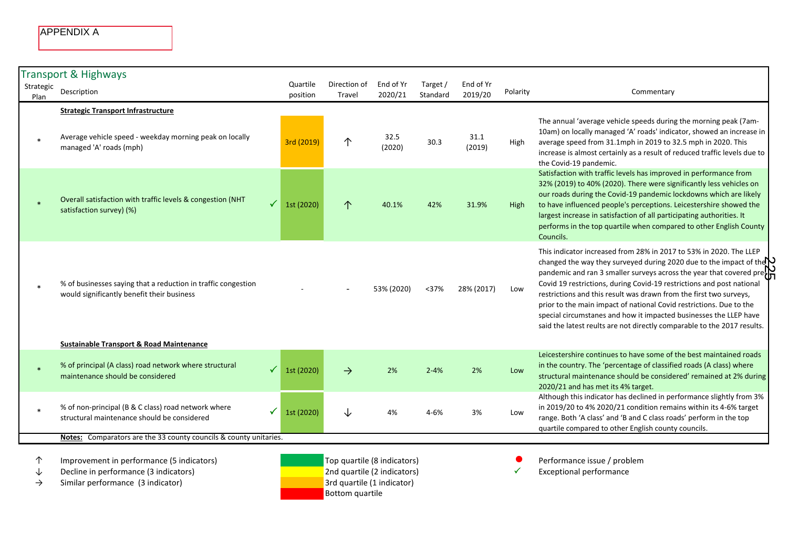|                   | <b>APPENDIX A</b>                                                                                                                                 |                            |                             |                      |                      |                      |          |                                                                                                                                                                                                                                                                                                                                                                                                                                                                                                                                                                                                                    |
|-------------------|---------------------------------------------------------------------------------------------------------------------------------------------------|----------------------------|-----------------------------|----------------------|----------------------|----------------------|----------|--------------------------------------------------------------------------------------------------------------------------------------------------------------------------------------------------------------------------------------------------------------------------------------------------------------------------------------------------------------------------------------------------------------------------------------------------------------------------------------------------------------------------------------------------------------------------------------------------------------------|
| Strategic<br>Plan | <b>Transport &amp; Highways</b><br>Description                                                                                                    | Quartile<br>position       | Direction of<br>Travel      | End of Yr<br>2020/21 | Target /<br>Standard | End of Yr<br>2019/20 | Polarity | Commentary                                                                                                                                                                                                                                                                                                                                                                                                                                                                                                                                                                                                         |
|                   | <b>Strategic Transport Infrastructure</b><br>Average vehicle speed - weekday morning peak on locally<br>managed 'A' roads (mph)                   | 3rd (2019)                 | 个                           | 32.5<br>(2020)       | 30.3                 | 31.1<br>(2019)       | High     | The annual 'average vehicle speeds during the morning peak (7am-<br>10am) on locally managed 'A' roads' indicator, showed an increase in<br>average speed from 31.1mph in 2019 to 32.5 mph in 2020. This<br>increase is almost certainly as a result of reduced traffic levels due to<br>the Covid-19 pandemic.                                                                                                                                                                                                                                                                                                    |
|                   | Overall satisfaction with traffic levels & congestion (NHT<br>satisfaction survey) (%)                                                            | 1st (2020)                 | $\uparrow$                  | 40.1%                | 42%                  | 31.9%                | High     | Satisfaction with traffic levels has improved in performance from<br>32% (2019) to 40% (2020). There were significantly less vehicles on<br>our roads during the Covid-19 pandemic lockdowns which are likely<br>to have influenced people's perceptions. Leicestershire showed the<br>largest increase in satisfaction of all participating authorities. It<br>performs in the top quartile when compared to other English County<br>Councils.                                                                                                                                                                    |
|                   | % of businesses saying that a reduction in traffic congestion<br>would significantly benefit their business                                       |                            |                             | 53% (2020)           | $37%$                | 28% (2017)           | Low      | This indicator increased from 28% in 2017 to 53% in 2020. The LLEP<br>changed the way they surveyed during 2020 due to the impact of the $\sum$<br>pandemic and ran 3 smaller surveys across the year that covered pre $\sum_{n=1}^{\infty}$<br>Covid 19 restrictions, during Covid-19 restrictions and post national<br>restrictions and this result was drawn from the first two surveys,<br>prior to the main impact of national Covid restrictions. Due to the<br>special circumstanes and how it impacted businesses the LLEP have<br>said the latest reults are not directly comparable to the 2017 results. |
|                   | <b>Sustainable Transport &amp; Road Maintenance</b><br>% of principal (A class) road network where structural<br>maintenance should be considered | $\checkmark$<br>1st (2020) | $\rightarrow$               | 2%                   | $2 - 4%$             | 2%                   | Low      | Leicestershire continues to have some of the best maintained roads<br>in the country. The 'percentage of classified roads (A class) where<br>structural maintenance should be considered' remained at 2% during<br>2020/21 and has met its 4% target.                                                                                                                                                                                                                                                                                                                                                              |
|                   | % of non-principal (B & C class) road network where<br>structural maintenance should be considered                                                | ✓<br>1st (2020)            | ↓                           | 4%                   | 4-6%                 | 3%                   | Low      | Although this indicator has declined in performance slightly from 3%<br>in 2019/20 to 4% 2020/21 condition remains within its 4-6% target<br>range. Both 'A class' and 'B and C class roads' perform in the top<br>quartile compared to other English county councils.                                                                                                                                                                                                                                                                                                                                             |
|                   | Notes: Comparators are the 33 county councils & county unitaries.                                                                                 |                            |                             |                      |                      |                      |          |                                                                                                                                                                                                                                                                                                                                                                                                                                                                                                                                                                                                                    |
| 个                 | Improvement in performance (5 indicators)                                                                                                         |                            | Top quartile (8 indicators) |                      |                      |                      |          | Performance issue / problem                                                                                                                                                                                                                                                                                                                                                                                                                                                                                                                                                                                        |

- ↓ Decline in performance (3 indicators) 2nd quartile (2 indicators) 2nd quartile (2 indicators) 2 metals are exceptional performance
- → $\rightarrow$  Similar performance (3 indicator) 3rd quartile (1 indicator)

Bottom quartile